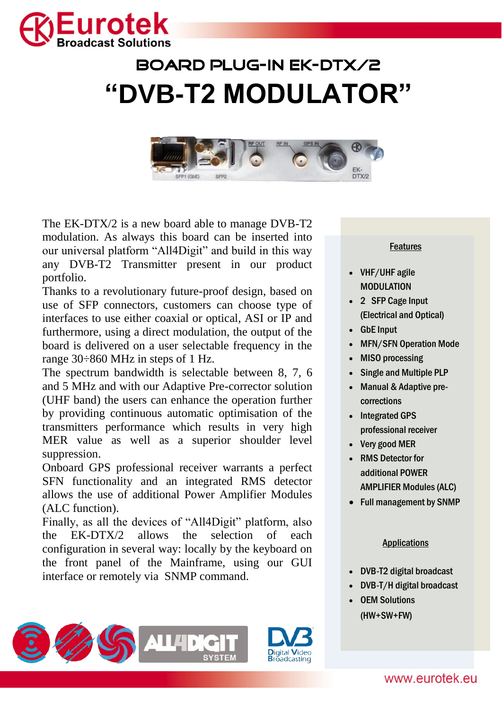

## BOARD PLUG-IN ek-dtx/2 **"DVB-T2 MODULATOR"**



The EK-DTX/2 is a new board able to manage DVB-T2 modulation. As always this board can be inserted into our universal platform "All4Digit" and build in this way any DVB-T2 Transmitter present in our product portfolio.

Thanks to a revolutionary future-proof design, based on use of SFP connectors, customers can choose type of interfaces to use either coaxial or optical, ASI or IP and furthermore, using a direct modulation, the output of the board is delivered on a user selectable frequency in the range 30÷860 MHz in steps of 1 Hz.

The spectrum bandwidth is selectable between 8, 7, 6 and 5 MHz and with our Adaptive Pre-corrector solution (UHF band) the users can enhance the operation further by providing continuous automatic optimisation of the transmitters performance which results in very high MER value as well as a superior shoulder level suppression.

Onboard GPS professional receiver warrants a perfect SFN functionality and an integrated RMS detector allows the use of additional Power Amplifier Modules (ALC function).

Finally, as all the devices of "All4Digit" platform, also the EK-DTX/2 allows the selection of each configuration in several way: locally by the keyboard on the front panel of the Mainframe, using our GUI interface or remotely via SNMP command.





## Features

- VHF/UHF agile MODIJI ATION
- 2 SFP Cage Input (Electrical and Optical)
- GbE Input
- MFN/SFN Operation Mode
- MISO processing
- Single and Multiple PLP
- Manual & Adaptive precorrections
- Integrated GPS professional receiver
- Very good MER
- RMS Detector for additional POWER AMPLIFIER Modules (ALC)
- Full management by SNMP

## Applications

- DVB-T2 digital broadcast
- DVB-T/H digital broadcast
- OEM Solutions (HW+SW+FW)

www.eurotek.eu